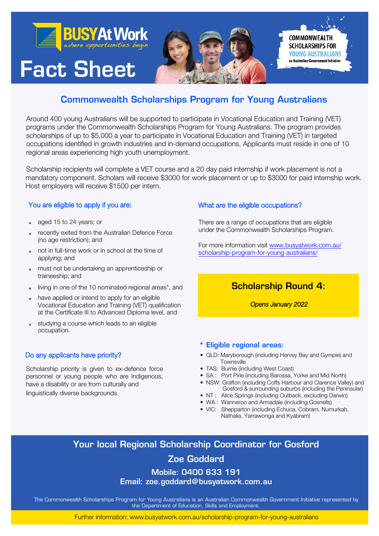

## Commonwealth Scholarships Program for Young Australians

Around 400 young Australians will be supported to participate in Vocational Education and Training (VET) programs under the Commonwealth Scholarships Program for Young Australians. The program provides scholarships of up to \$5,000 a year to participate in Vocational Education and Training (VET) in targeted occupations identified in growth industries and in-demand occupations. Applicants must reside in one of 10 regional areas experiencing high youth unemployment.

Scholarship recipients will complete a VET course and a 20 day paid internship if work placement is not a mandatory component. Scholars will receive \$3000 for work placement or up to \$3000 for paid internship work. Host employers will receive \$1500 per intern.

## You are eligible to apply if you are:

- aged 15 to 24 years; or
- recently exited from the Australian Defence Force (no age restriction); and
- not in full-time work or in school at the time of applying; and
- must not be undertaking an apprenticeship or traineeship; and
- living in one of the 10 nominated regional areas\*, and
- have applied or intend to apply for an eligible Vocational Education and Training (VET) qualification at the Certificate III to Advanced Diploma level, and
- studying a course which leads to an eligible occupation.

#### Do any applicants have priority?

Scholarship priority is given to ex-defence force personnel or young people who are Indigenous, have a disability or are from culturally and

linguistically diverse backgrounds.

### What are the eligible occupations?

There are a range of occupations that are eligible under the Commonwealth Scholarships Program.

For more information visit www.busyatwork.com.au/ [scholarship-program-for-young-australians/](https://www.busyatwork.com.au/scholarship-program-for-young-australians/)

## Scholarship Round 4:

Opens January 2022

#### \* Eligible regional areas:

- QLD: Maryborough (including Hervey Bay and Gympie) and **Townsville**
- TAS: Burnie (including West Coast)
- SA : Port Pirie (including Barossa, Yorke and Mid North)
- NSW: Grafton (including Coffs Harbour and Clarence Valley) and Gosford & surrounding suburbs (including the Peninsular)
- NT : Alice Springs (including Outback, excluding Darwin)
- WA : Wanneroo and Armadale (including Gosnells)
- VIC: Shepparton (including Echuca, Cobram, Numurkah, Nathalia, Yarrawonga and Kyabram)

# Your local Regional Scholarship Coordinator for Gosford

## Zoe Goddard

Mobile: 0400 633 191 Email: [zoe.goddard@busyatwork.com.au](mailto:zoe.goddard@busyatwork.com.au)

The Commonwealth Scholarships Program for Young Australians is an Australian Commonwealth Government Initiative represented by the Department of Education, Skills and Employment.

Further information: www.busyatwork.com.au/scholarship-program-for-young-australians